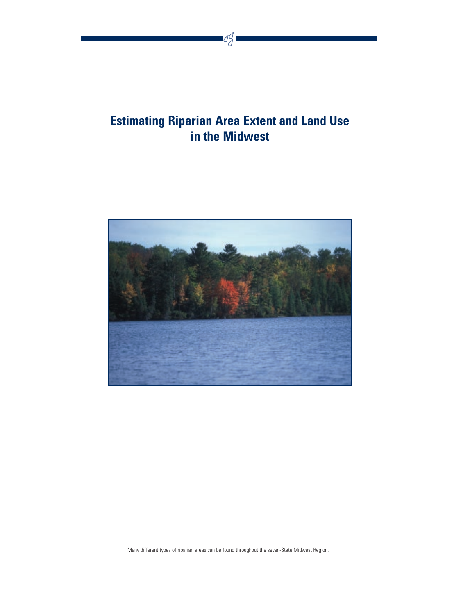## **Estimating Riparian Area Extent and Land Use in the Midwest**

Sg



Many different types of riparian areas can be found throughout the seven-State Midwest Region.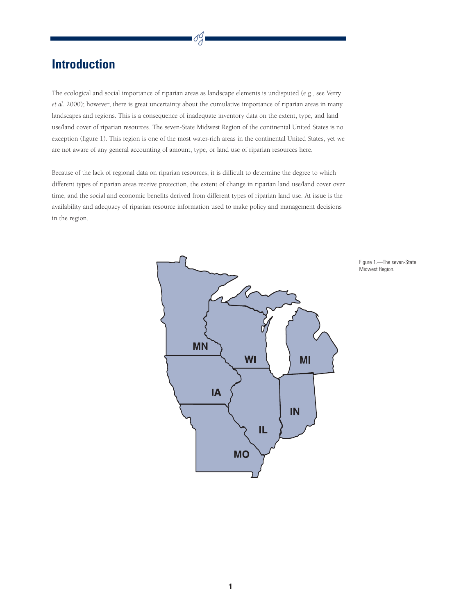## **Introduction**

The ecological and social importance of riparian areas as landscape elements is undisputed (e.g., see Verry *et al.* 2000); however, there is great uncertainty about the cumulative importance of riparian areas in many landscapes and regions. This is a consequence of inadequate inventory data on the extent, type, and land use/land cover of riparian resources. The seven-State Midwest Region of the continental United States is no exception (figure 1). This region is one of the most water-rich areas in the continental United States, yet we are not aware of any general accounting of amount, type, or land use of riparian resources here.

Because of the lack of regional data on riparian resources, it is difficult to determine the degree to which different types of riparian areas receive protection, the extent of change in riparian land use/land cover over time, and the social and economic benefits derived from different types of riparian land use. At issue is the availability and adequacy of riparian resource information used to make policy and management decisions in the region.



Figure 1.—The seven-State Midwest Region.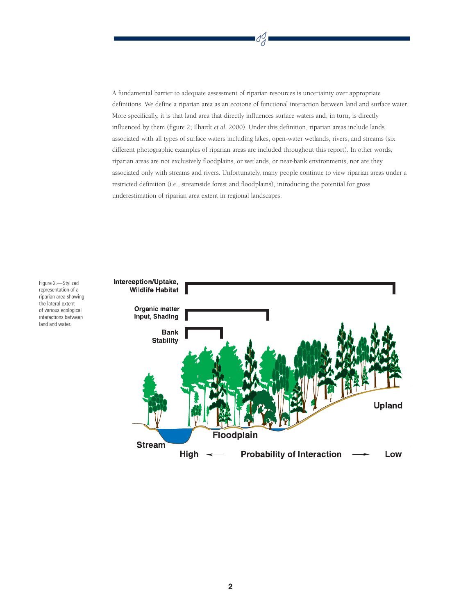A fundamental barrier to adequate assessment of riparian resources is uncertainty over appropriate definitions. We define a riparian area as an ecotone of functional interaction between land and surface water. More specifically, it is that land area that directly influences surface waters and, in turn, is directly influenced by them (figure 2; Ilhardt *et al.* 2000). Under this definition, riparian areas include lands associated with all types of surface waters including lakes, open-water wetlands, rivers, and streams (six different photographic examples of riparian areas are included throughout this report). In other words, riparian areas are not exclusively floodplains, or wetlands, or near-bank environments, nor are they associated only with streams and rivers. Unfortunately, many people continue to view riparian areas under a restricted definition (i.e., streamside forest and floodplains), introducing the potential for gross underestimation of riparian area extent in regional landscapes.

S

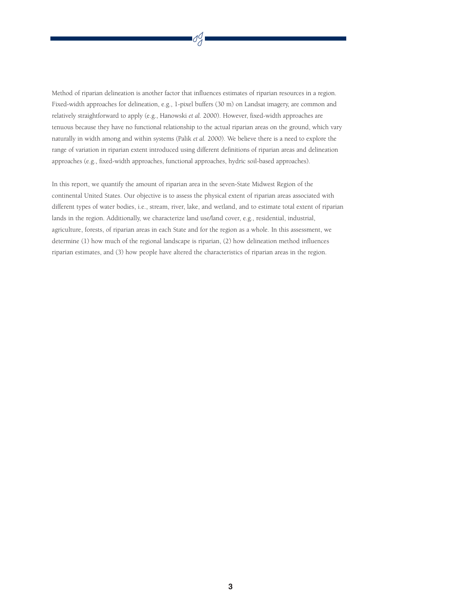Method of riparian delineation is another factor that influences estimates of riparian resources in a region. Fixed-width approaches for delineation, e.g., 1-pixel buffers (30 m) on Landsat imagery, are common and relatively straightforward to apply (e.g., Hanowski *et al.* 2000). However, fixed-width approaches are tenuous because they have no functional relationship to the actual riparian areas on the ground, which vary naturally in width among and within systems (Palik *et al.* 2000). We believe there is a need to explore the range of variation in riparian extent introduced using different definitions of riparian areas and delineation approaches (e.g., fixed-width approaches, functional approaches, hydric soil-based approaches).

SJ

In this report, we quantify the amount of riparian area in the seven-State Midwest Region of the continental United States. Our objective is to assess the physical extent of riparian areas associated with different types of water bodies, i.e., stream, river, lake, and wetland, and to estimate total extent of riparian lands in the region. Additionally, we characterize land use/land cover, e.g., residential, industrial, agriculture, forests, of riparian areas in each State and for the region as a whole. In this assessment, we determine (1) how much of the regional landscape is riparian, (2) how delineation method influences riparian estimates, and (3) how people have altered the characteristics of riparian areas in the region.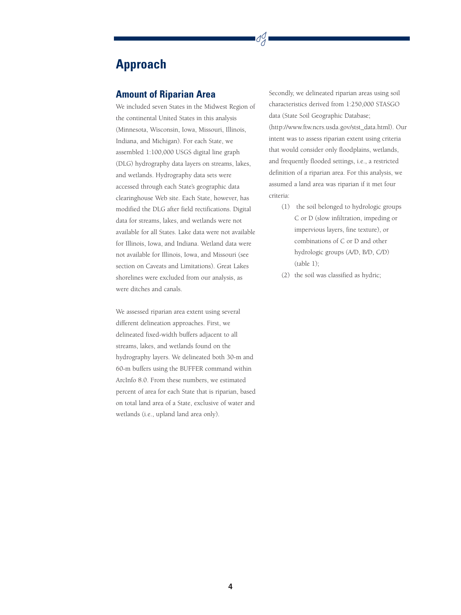## **Approach**

#### **Amount of Riparian Area**

We included seven States in the Midwest Region of the continental United States in this analysis (Minnesota, Wisconsin, Iowa, Missouri, Illinois, Indiana, and Michigan). For each State, we assembled 1:100,000 USGS digital line graph (DLG) hydrography data layers on streams, lakes, and wetlands. Hydrography data sets were accessed through each State's geographic data clearinghouse Web site. Each State, however, has modified the DLG after field rectifications. Digital data for streams, lakes, and wetlands were not available for all States. Lake data were not available for Illinois, Iowa, and Indiana. Wetland data were not available for Illinois, Iowa, and Missouri (see section on Caveats and Limitations). Great Lakes shorelines were excluded from our analysis, as were ditches and canals.

We assessed riparian area extent using several different delineation approaches. First, we delineated fixed-width buffers adjacent to all streams, lakes, and wetlands found on the hydrography layers. We delineated both 30-m and 60-m buffers using the BUFFER command within ArcInfo 8.0. From these numbers, we estimated percent of area for each State that is riparian, based on total land area of a State, exclusive of water and wetlands (i.e., upland land area only).

Secondly, we delineated riparian areas using soil characteristics derived from 1:250,000 STASGO data (State Soil Geographic Database; (http://www.ftw.ncrs.usda.gov/stst\_data.html). Our intent was to assess riparian extent using criteria that would consider only floodplains, wetlands, and frequently flooded settings, i.e., a restricted definition of a riparian area. For this analysis, we assumed a land area was riparian if it met four criteria:

- (1) the soil belonged to hydrologic groups C or D (slow infiltration, impeding or impervious layers, fine texture), or combinations of C or D and other hydrologic groups (A/D, B/D, C/D) (table 1);
- (2) the soil was classified as hydric;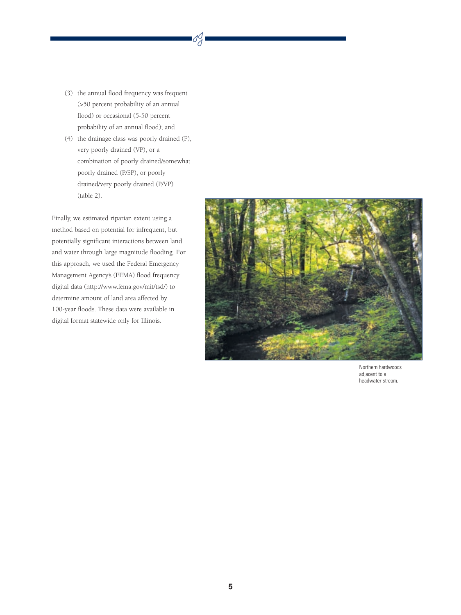(3) the annual flood frequency was frequent (>50 percent probability of an annual flood) or occasional (5-50 percent probability of an annual flood); and

SJ

(4) the drainage class was poorly drained (P), very poorly drained (VP), or a combination of poorly drained/somewhat poorly drained (P/SP), or poorly drained/very poorly drained (P/VP) (table 2).

Finally, we estimated riparian extent using a method based on potential for infrequent, but potentially significant interactions between land and water through large magnitude flooding. For this approach, we used the Federal Emergency Management Agency's (FEMA) flood frequency digital data (http://www.fema.gov/mit/tsd/) to determine amount of land area affected by 100-year floods. These data were available in digital format statewide only for Illinois.



Northern hardwoods adjacent to a headwater stream.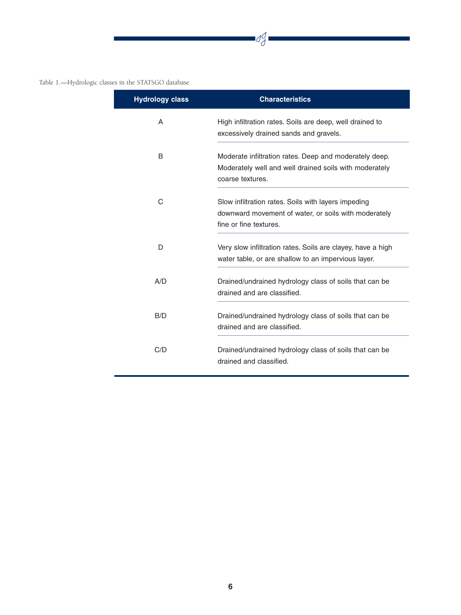#### Table 1.—Hydrologic classes in the STATSGO database

| <b>Hydrology class</b> | <b>Characteristics</b>                                                                                                                |
|------------------------|---------------------------------------------------------------------------------------------------------------------------------------|
| A                      | High infiltration rates. Soils are deep, well drained to<br>excessively drained sands and gravels.                                    |
| B                      | Moderate infiltration rates. Deep and moderately deep.<br>Moderately well and well drained soils with moderately<br>coarse textures.  |
| C                      | Slow infiltration rates. Soils with layers impeding<br>downward movement of water, or soils with moderately<br>fine or fine textures. |
| D                      | Very slow infiltration rates. Soils are clayey, have a high<br>water table, or are shallow to an impervious layer.                    |
| A/D                    | Drained/undrained hydrology class of soils that can be<br>drained and are classified.                                                 |
| B/D                    | Drained/undrained hydrology class of soils that can be<br>drained and are classified.                                                 |
| C/D                    | Drained/undrained hydrology class of soils that can be<br>drained and classified.                                                     |

 $\frac{d}{d}$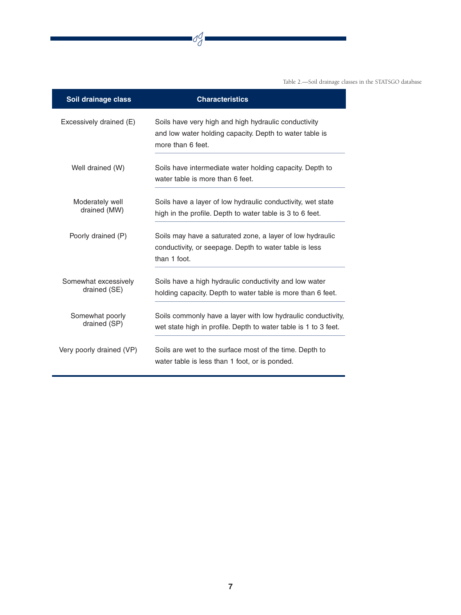Table 2.—Soil drainage classes in the STATSGO database

| Soil drainage class                  | <b>Characteristics</b>                                                                                                               |
|--------------------------------------|--------------------------------------------------------------------------------------------------------------------------------------|
| Excessively drained (E)              | Soils have very high and high hydraulic conductivity<br>and low water holding capacity. Depth to water table is<br>more than 6 feet. |
| Well drained (W)                     | Soils have intermediate water holding capacity. Depth to<br>water table is more than 6 feet.                                         |
| Moderately well<br>drained (MW)      | Soils have a layer of low hydraulic conductivity, wet state<br>high in the profile. Depth to water table is 3 to 6 feet.             |
| Poorly drained (P)                   | Soils may have a saturated zone, a layer of low hydraulic<br>conductivity, or seepage. Depth to water table is less<br>than 1 foot.  |
| Somewhat excessively<br>drained (SE) | Soils have a high hydraulic conductivity and low water<br>holding capacity. Depth to water table is more than 6 feet.                |
| Somewhat poorly<br>drained (SP)      | Soils commonly have a layer with low hydraulic conductivity,<br>wet state high in profile. Depth to water table is 1 to 3 feet.      |
| Very poorly drained (VP)             | Soils are wet to the surface most of the time. Depth to<br>water table is less than 1 foot, or is ponded.                            |

 $\frac{d}{d}$ 

 $\overline{\phantom{a}}$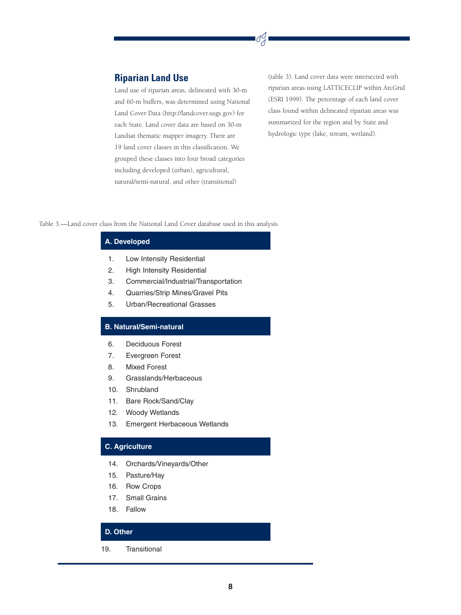#### **Riparian Land Use**

Land use of riparian areas, delineated with 30-m and 60-m buffers, was determined using National Land Cover Data (http://landcover.usgs.gov) for each State. Land cover data are based on 30-m Landsat thematic mapper imagery. There are 19 land cover classes in this classification. We grouped these classes into four broad categories including developed (urban), agricultural, natural/semi-natural, and other (transitional)

(table 3). Land cover data were intersected with riparian areas using LATTICECLIP within ArcGrid (ESRI 1999). The percentage of each land cover class found within delineated riparian areas was summarized for the region and by State and hydrologic type (lake, stream, wetland).

dg

Table 3.—Land cover class from the National Land Cover database used in this analysis

#### **A. Developed**

- 1. Low Intensity Residential
- 2. High Intensity Residential
- 3. Commercial/Industrial/Transportation
- 4. Quarries/Strip Mines/Gravel Pits
- 5. Urban/Recreational Grasses

#### **B. Natural/Semi-natural**

- 6. Deciduous Forest
- 7. Evergreen Forest
- 8. Mixed Forest
- 9. Grasslands/Herbaceous
- 10. Shrubland
- 11. Bare Rock/Sand/Clay
- 12. Woody Wetlands
- 13. Emergent Herbaceous Wetlands

#### **C. Agriculture**

- 14. Orchards/Vineyards/Other
- 15. Pasture/Hay
- 16. Row Crops
- 17. Small Grains
- 18. Fallow

#### **D. Other**

19. Transitional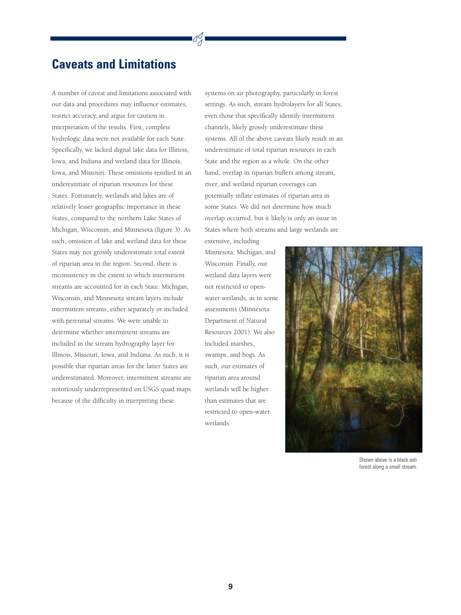## **Caveats and Limitations**

A number of caveat and limitations associated with our data and procedures may influence estimates, restrict accuracy, and argue for caution in interpretation of the results. First, complete hydrologic data were not available for each State. Specifically, we lacked digital lake data for Illinois, Iowa, and Indiana and wetland data for Illinois, Iowa, and Missouri. These omissions resulted in an underestimate of riparian resources for these States. Fortunately, wetlands and lakes are of relatively lesser geographic importance in these States, compared to the northern Lake States of Michigan, Wisconsin, and Minnesota (figure 3). As such, omission of lake and wetland data for these States may not grossly underestimate total extent of riparian area in the region. Second, there is inconsistency in the extent to which intermittent streams are accounted for in each State. Michigan, Wisconsin, and Minnesota stream layers include intermittent streams, either separately or included with perennial streams. We were unable to determine whether intermittent streams are included in the stream hydrography layer for Illinois, Missouri, Iowa, and Indiana. As such, it is possible that riparian areas for the latter States are underestimated. Moreover, intermittent streams are notoriously underrepresented on USGS quad maps because of the difficulty in interpreting these

systems on air photography, particularly in forest settings. As such, stream hydrolayers for all States, even those that specifically identify intermittent channels, likely grossly underestimate these systems. All of the above caveats likely result in an underestimate of total riparian resources in each State and the region as a whole. On the other hand, overlap in riparian buffers among stream, river, and wetland riparian coverages can potentially inflate estimates of riparian area in some States. We did not determine how much overlap occurred, but it likely is only an issue in States where both streams and large wetlands are extensive, including

Minnesota, Michigan, and Wisconsin. Finally, our wetland data layers were not restricted to openwater wetlands, as in some assessments (Minnesota Department of Natural Resources 2001). We also included marshes, swamps, and bogs. As such, our estimates of riparian area around wetlands will be higher than estimates that are restricted to open-water wetlands.



Shown above is a black ash forest along a small stream.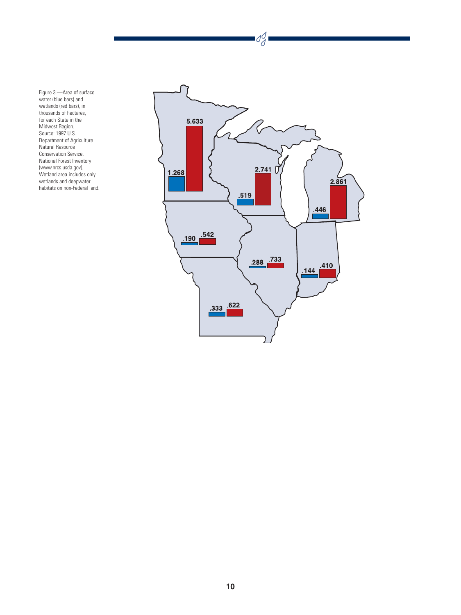Figure 3.—Area of surface water (blue bars) and wetlands (red bars), in thousands of hectares, for each State in the Midwest Region. Source: 1997 U.S. Department of Agriculture Natural Resource Conservation Service, National Forest Inventory (www.nrcs.usda.gov). Wetland area includes only wetlands and deepwater habitats on non-Federal land.



 $\frac{d}{d}$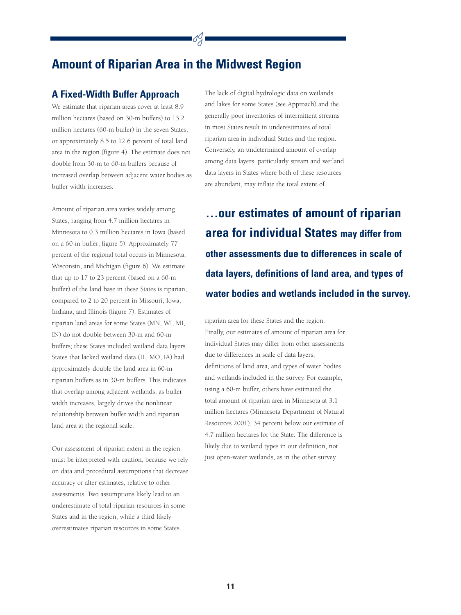## **Amount of Riparian Area in the Midwest Region**

#### **A Fixed-Width Buffer Approach**

We estimate that riparian areas cover at least 8.9 million hectares (based on 30-m buffers) to 13.2 million hectares (60-m buffer) in the seven States, or approximately 8.5 to 12.6 percent of total land area in the region (figure 4). The estimate does not double from 30-m to 60-m buffers because of increased overlap between adjacent water bodies as buffer width increases.

Amount of riparian area varies widely among States, ranging from 4.7 million hectares in Minnesota to 0.3 million hectares in Iowa (based on a 60-m buffer; figure 5). Approximately 77 percent of the regional total occurs in Minnesota, Wisconsin, and Michigan (figure 6). We estimate that up to 17 to 23 percent (based on a 60-m buffer) of the land base in these States is riparian, compared to 2 to 20 percent in Missouri, Iowa, Indiana, and Illinois (figure 7). Estimates of riparian land areas for some States (MN, WI, MI, IN) do not double between 30-m and 60-m buffers; these States included wetland data layers. States that lacked wetland data (IL, MO, IA) had approximately double the land area in 60-m riparian buffers as in 30-m buffers. This indicates that overlap among adjacent wetlands, as buffer width increases, largely drives the nonlinear relationship between buffer width and riparian land area at the regional scale.

Our assessment of riparian extent in the region must be interpreted with caution, because we rely on data and procedural assumptions that decrease accuracy or alter estimates, relative to other assessments. Two assumptions likely lead to an underestimate of total riparian resources in some States and in the region, while a third likely overestimates riparian resources in some States.

The lack of digital hydrologic data on wetlands and lakes for some States (see Approach) and the generally poor inventories of intermittent streams in most States result in underestimates of total riparian area in individual States and the region. Conversely, an undetermined amount of overlap among data layers, particularly stream and wetland data layers in States where both of these resources are abundant, may inflate the total extent of

**…our estimates of amount of riparian area for individual States may differ from other assessments due to differences in scale of data layers, definitions of land area, and types of water bodies and wetlands included in the survey.**

riparian area for these States and the region. Finally, our estimates of amount of riparian area for individual States may differ from other assessments due to differences in scale of data layers, definitions of land area, and types of water bodies and wetlands included in the survey. For example, using a 60-m buffer, others have estimated the total amount of riparian area in Minnesota at 3.1 million hectares (Minnesota Department of Natural Resources 2001), 34 percent below our estimate of 4.7 million hectares for the State. The difference is likely due to wetland types in our definition, not just open-water wetlands, as in the other survey.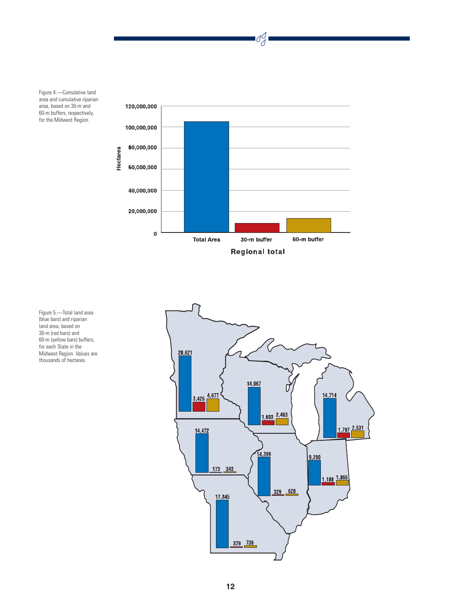Figure 4.—Cumulative land area and cumulative riparian area, based on 30-m and 60-m buffers, respectively, for the Midwest Region.



 $d_d$ 

Figure 5.—Total land area (blue bars) and riparian land area, based on 30-m (red bars) and 60-m (yellow bars) buffers, for each State in the Midwest Region. Values are thousands of hectares.

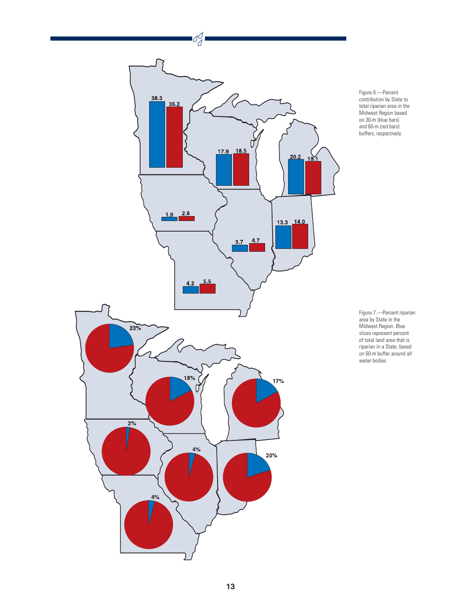

Figure 6.—Percent contribution by State to total riparian area in the Midwest Region based on 30-m (blue bars) and 60-m (red bars) buffers, respectively.

Figure 7.—Percent riparian area by State in the Midwest Region. Blue slices represent percent of total land area that is riparian in a State, based on 60-m buffer around all water bodies.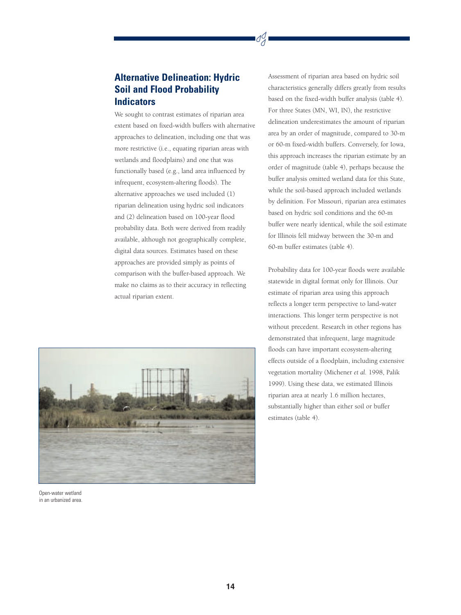## **Alternative Delineation: Hydric Soil and Flood Probability Indicators**

We sought to contrast estimates of riparian area extent based on fixed-width buffers with alternative approaches to delineation, including one that was more restrictive (i.e., equating riparian areas with wetlands and floodplains) and one that was functionally based (e.g., land area influenced by infrequent, ecosystem-altering floods). The alternative approaches we used included (1) riparian delineation using hydric soil indicators and (2) delineation based on 100-year flood probability data. Both were derived from readily available, although not geographically complete, digital data sources. Estimates based on these approaches are provided simply as points of comparison with the buffer-based approach. We make no claims as to their accuracy in reflecting actual riparian extent.



Open-water wetland in an urbanized area.

Assessment of riparian area based on hydric soil characteristics generally differs greatly from results based on the fixed-width buffer analysis (table 4). For three States (MN, WI, IN), the restrictive delineation underestimates the amount of riparian area by an order of magnitude, compared to 30-m or 60-m fixed-width buffers. Conversely, for Iowa, this approach increases the riparian estimate by an order of magnitude (table 4), perhaps because the buffer analysis omitted wetland data for this State, while the soil-based approach included wetlands by definition. For Missouri, riparian area estimates based on hydric soil conditions and the 60-m buffer were nearly identical, while the soil estimate for Illinois fell midway between the 30-m and 60-m buffer estimates (table 4).

Probability data for 100-year floods were available statewide in digital format only for Illinois. Our estimate of riparian area using this approach reflects a longer term perspective to land-water interactions. This longer term perspective is not without precedent. Research in other regions has demonstrated that infrequent, large magnitude floods can have important ecosystem-altering effects outside of a floodplain, including extensive vegetation mortality (Michener *et al.* 1998, Palik 1999). Using these data, we estimated Illinois riparian area at nearly 1.6 million hectares, substantially higher than either soil or buffer estimates (table 4).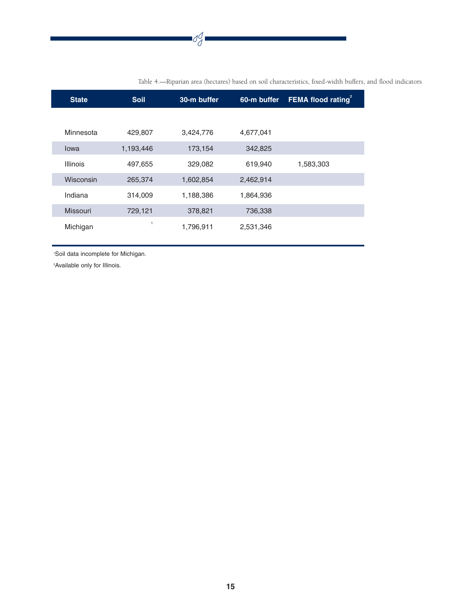|--|

| <b>State</b>    | <b>Soil</b> | 30-m buffer | 60-m buffer | <b>FEMA flood rating</b> |
|-----------------|-------------|-------------|-------------|--------------------------|
|                 |             |             |             |                          |
| Minnesota       | 429,807     | 3,424,776   | 4,677,041   |                          |
| lowa            | 1,193,446   | 173,154     | 342,825     |                          |
| <b>Illinois</b> | 497,655     | 329,082     | 619,940     | 1,583,303                |
| Wisconsin       | 265,374     | 1,602,854   | 2,462,914   |                          |
| Indiana         | 314,009     | 1,188,386   | 1,864,936   |                          |
| Missouri        | 729,121     | 378,821     | 736,338     |                          |
| Michigan        |             | 1,796,911   | 2,531,346   |                          |

Table 4.—Riparian area (hectares) based on soil characteristics, fixed-width buffers, and flood indicators

1 Soil data incomplete for Michigan.

2 Available only for Illinois.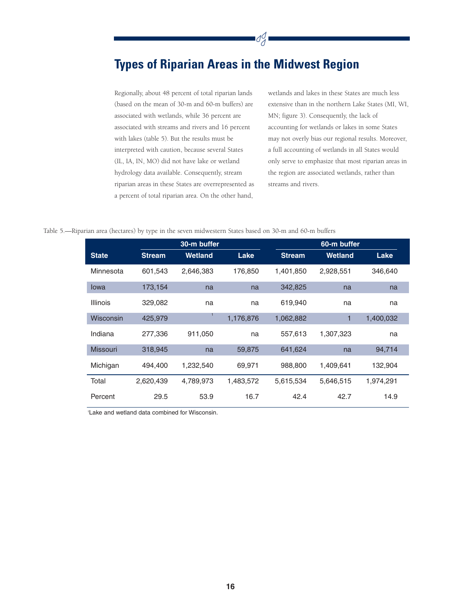# **Types of Riparian Areas in the Midwest Region**

dg

Regionally, about 48 percent of total riparian lands (based on the mean of 30-m and 60-m buffers) are associated with wetlands, while 36 percent are associated with streams and rivers and 16 percent with lakes (table 5). But the results must be interpreted with caution, because several States (IL, IA, IN, MO) did not have lake or wetland hydrology data available. Consequently, stream riparian areas in these States are overrepresented as a percent of total riparian area. On the other hand,

wetlands and lakes in these States are much less extensive than in the northern Lake States (MI, WI, MN; figure 3). Consequently, the lack of accounting for wetlands or lakes in some States may not overly bias our regional results. Moreover, a full accounting of wetlands in all States would only serve to emphasize that most riparian areas in the region are associated wetlands, rather than streams and rivers.

#### Table 5.—Riparian area (hectares) by type in the seven midwestern States based on 30-m and 60-m buffers

|                 |               | 30-m buffer    |           |               | 60-m buffer    |           |  |  |
|-----------------|---------------|----------------|-----------|---------------|----------------|-----------|--|--|
| <b>State</b>    | <b>Stream</b> | <b>Wetland</b> | Lake      | <b>Stream</b> | <b>Wetland</b> | Lake      |  |  |
| Minnesota       | 601,543       | 2,646,383      | 176,850   | 1,401,850     | 2,928,551      | 346,640   |  |  |
| lowa            | 173,154       | na             | na        | 342,825       | na             | na        |  |  |
| <b>Illinois</b> | 329,082       | na             | na        | 619,940       | na             | na        |  |  |
| Wisconsin       | 425,979       |                | 1,176,876 | 1,062,882     | 1              | 1,400,032 |  |  |
| Indiana         | 277,336       | 911,050        | na        | 557,613       | 1,307,323      | na        |  |  |
| <b>Missouri</b> | 318,945       | na             | 59,875    | 641,624       | na             | 94,714    |  |  |
| Michigan        | 494,400       | 1,232,540      | 69,971    | 988,800       | 1,409,641      | 132,904   |  |  |
| Total           | 2,620,439     | 4,789,973      | 1,483,572 | 5,615,534     | 5,646,515      | 1,974,291 |  |  |
| Percent         | 29.5          | 53.9           | 16.7      | 42.4          | 42.7           | 14.9      |  |  |

1 Lake and wetland data combined for Wisconsin.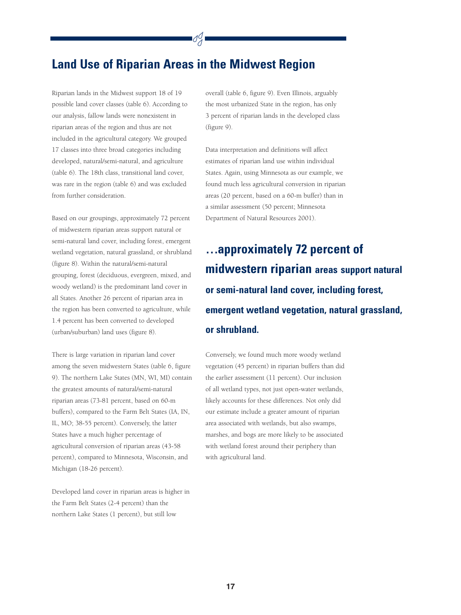## **Land Use of Riparian Areas in the Midwest Region**

Riparian lands in the Midwest support 18 of 19 possible land cover classes (table 6). According to our analysis, fallow lands were nonexistent in riparian areas of the region and thus are not included in the agricultural category. We grouped 17 classes into three broad categories including developed, natural/semi-natural, and agriculture (table 6). The 18th class, transitional land cover, was rare in the region (table 6) and was excluded from further consideration.

Based on our groupings, approximately 72 percent of midwestern riparian areas support natural or semi-natural land cover, including forest, emergent wetland vegetation, natural grassland, or shrubland (figure 8). Within the natural/semi-natural grouping, forest (deciduous, evergreen, mixed, and woody wetland) is the predominant land cover in all States. Another 26 percent of riparian area in the region has been converted to agriculture, while 1.4 percent has been converted to developed (urban/suburban) land uses (figure 8).

There is large variation in riparian land cover among the seven midwestern States (table 6, figure 9). The northern Lake States (MN, WI, MI) contain the greatest amounts of natural/semi-natural riparian areas (73-81 percent, based on 60-m buffers), compared to the Farm Belt States (IA, IN, IL, MO; 38-55 percent). Conversely, the latter States have a much higher percentage of agricultural conversion of riparian areas (43-58 percent), compared to Minnesota, Wisconsin, and Michigan (18-26 percent).

Developed land cover in riparian areas is higher in the Farm Belt States (2-4 percent) than the northern Lake States (1 percent), but still low

overall (table 6, figure 9). Even Illinois, arguably the most urbanized State in the region, has only 3 percent of riparian lands in the developed class (figure 9).

Data interpretation and definitions will affect estimates of riparian land use within individual States. Again, using Minnesota as our example, we found much less agricultural conversion in riparian areas (20 percent, based on a 60-m buffer) than in a similar assessment (50 percent; Minnesota Department of Natural Resources 2001).

# **…approximately 72 percent of midwestern riparian areas support natural or semi-natural land cover, including forest, emergent wetland vegetation, natural grassland, or shrubland.**

Conversely, we found much more woody wetland vegetation (45 percent) in riparian buffers than did the earlier assessment (11 percent). Our inclusion of all wetland types, not just open-water wetlands, likely accounts for these differences. Not only did our estimate include a greater amount of riparian area associated with wetlands, but also swamps, marshes, and bogs are more likely to be associated with wetland forest around their periphery than with agricultural land.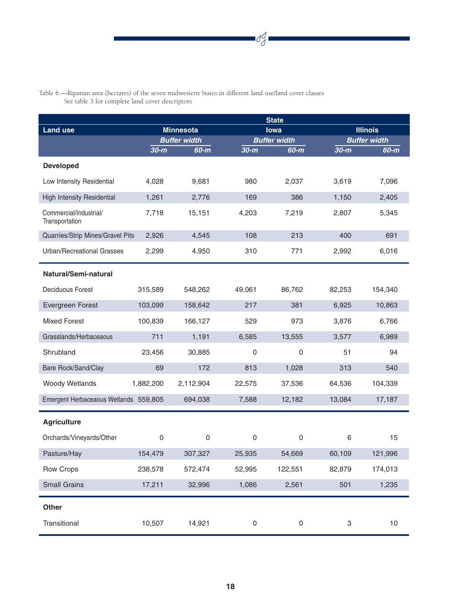

|                                          | <b>State</b> |                                       |                     |                               |                           |                             |  |
|------------------------------------------|--------------|---------------------------------------|---------------------|-------------------------------|---------------------------|-----------------------------|--|
| <b>Land use</b>                          |              | <b>Minnesota</b><br>lowa              |                     |                               | <b>Illinois</b>           |                             |  |
|                                          | $30-m$       | <b>Buffer width</b><br>60-m<br>$30-m$ |                     | <b>Buffer width</b><br>$60-m$ | $30-m$                    | <b>Buffer width</b><br>60-m |  |
| <b>Developed</b>                         |              |                                       |                     |                               |                           |                             |  |
|                                          | 4,028        | 9,681                                 | 980                 | 2,037                         | 3,619                     | 7,096                       |  |
| Low Intensity Residential                |              |                                       |                     |                               |                           |                             |  |
| <b>High Intensity Residential</b>        | 1,261        | 2,776                                 | 169                 | 386                           | 1,150                     | 2,405                       |  |
| Commercial/Industrial/<br>Transportation | 7,718        | 15,151                                | 4,203               | 7,219                         | 2,807                     | 5,345                       |  |
| Quarries/Strip Mines/Gravel Pits         | 2,926        | 4,545                                 | 108                 | 213                           | 400                       | 691                         |  |
| <b>Urban/Recreational Grasses</b>        | 2,299        | 4,950                                 | 310                 | 771                           | 2,992                     | 6,016                       |  |
| Natural/Semi-natural                     |              |                                       |                     |                               |                           |                             |  |
| <b>Deciduous Forest</b>                  | 315,589      | 548,262                               | 49,061              | 86,762                        | 82,253                    | 154,340                     |  |
| Evergreen Forest                         | 103,099      | 158,642                               | 217                 | 381                           | 6,925                     | 10,863                      |  |
| <b>Mixed Forest</b>                      | 100,839      | 166,127                               | 529                 | 973                           | 3,876                     | 6,766                       |  |
| Grasslands/Herbaceaous                   | 711          | 1,191                                 | 6,585               | 13,555                        | 3,577                     | 6,989                       |  |
| Shrubland                                | 23,456       | 30,885                                | $\mathbf 0$         | 0                             | 51                        | 94                          |  |
| Bare Rock/Sand/Clay                      | 69           | 172                                   | 813                 | 1,028                         | 313                       | 540                         |  |
| <b>Woody Wetlands</b>                    | 1,882,200    | 2,112,904                             | 22,575              | 37,536                        | 64,536                    | 104,339                     |  |
| Emergent Herbaceaous Wetlands 559,805    |              | 694,038                               | 7,588               | 12,182                        | 13,084                    | 17,187                      |  |
| <b>Agriculture</b>                       |              |                                       |                     |                               |                           |                             |  |
| Orchards/Vineyards/Other                 | $\mathsf 0$  | $\mathbf 0$                           | $\mathbf 0$         | $\mathsf{O}\xspace$           | $6\phantom{1}6$           | 15                          |  |
| Pasture/Hay                              | 154,479      | 307,327                               | 25,935              | 54,669                        | 60,109                    | 121,996                     |  |
| Row Crops                                | 238,578      | 572,474                               | 52,995              | 122,551                       | 82,879                    | 174,013                     |  |
| <b>Small Grains</b>                      | 17,211       | 32,996                                | 1,086               | 2,561                         | 501                       | 1,235                       |  |
| <b>Other</b>                             |              |                                       |                     |                               |                           |                             |  |
| Transitional                             | 10,507       | 14,921                                | $\mathsf{O}\xspace$ | $\mathsf{O}\xspace$           | $\ensuremath{\mathsf{3}}$ | 10                          |  |

Table 6.—Riparian area (hectares) of the seven midwestern States in different land use/land cover classes See table 3 for complete land cover descriptors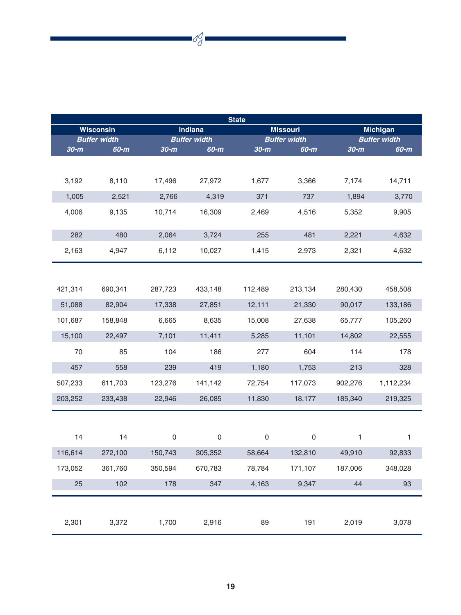| <b>State</b> |                                    |             |                     |                     |                     |         |                     |  |
|--------------|------------------------------------|-------------|---------------------|---------------------|---------------------|---------|---------------------|--|
|              | <b>Wisconsin</b><br><b>Indiana</b> |             |                     |                     | <b>Missouri</b>     |         | <b>Michigan</b>     |  |
|              | <b>Buffer width</b>                |             | <b>Buffer width</b> |                     | <b>Buffer width</b> |         | <b>Buffer width</b> |  |
| $30-m$       | $60-m$                             | $30-m$      | $60-m$              | $30-m$              | 60-m                | $30-m$  | $60-m$              |  |
| 3,192        | 8,110                              | 17,496      | 27,972              | 1,677               | 3,366               | 7,174   | 14,711              |  |
| 1,005        | 2,521                              | 2,766       | 4,319               | 371                 | 737                 | 1,894   | 3,770               |  |
| 4,006        | 9,135                              | 10,714      | 16,309              | 2,469               | 4,516               | 5,352   | 9,905               |  |
| 282          | 480                                | 2,064       | 3,724               | 255                 | 481                 | 2,221   | 4,632               |  |
| 2,163        | 4,947                              | 6,112       | 10,027              | 1,415               | 2,973               | 2,321   | 4,632               |  |
| 421,314      | 690,341                            | 287,723     | 433,148             | 112,489             | 213,134             | 280,430 | 458,508             |  |
| 51,088       | 82,904                             | 17,338      | 27,851              | 12,111              | 21,330              | 90,017  | 133,186             |  |
| 101,687      | 158,848                            | 6,665       | 8,635               | 15,008              | 27,638              | 65,777  | 105,260             |  |
| 15,100       | 22,497                             | 7,101       | 11,411              | 5,285               | 11,101              | 14,802  | 22,555              |  |
| 70           | 85                                 | 104         | 186                 | 277                 | 604                 | 114     | 178                 |  |
| 457          | 558                                | 239         | 419                 | 1,180               | 1,753               | 213     | 328                 |  |
| 507,233      | 611,703                            | 123,276     | 141,142             | 72,754              | 117,073             | 902,276 | 1,112,234           |  |
| 203,252      | 233,438                            | 22,946      | 26,085              | 11,830              | 18,177              | 185,340 | 219,325             |  |
|              |                                    |             |                     |                     |                     |         |                     |  |
| 14           | 14                                 | $\mathbf 0$ | $\mathbf 0$         | $\mathsf{O}\xspace$ | $\mathbf 0$         | 1       | 1                   |  |
| 116,614      | 272,100                            | 150,743     | 305,352             | 58,664              | 132,810             | 49,910  | 92,833              |  |
| 173,052      | 361,760                            | 350,594     | 670,783             | 78,784              | 171,107             | 187,006 | 348,028             |  |
| 25           | 102                                | 178         | 347                 | 4,163               | 9,347               | 44      | 93                  |  |
|              |                                    |             |                     |                     |                     |         |                     |  |
| 2,301        | 3,372                              | 1,700       | 2,916               | 89                  | 191                 | 2,019   | 3,078               |  |

 $\frac{d}{d}$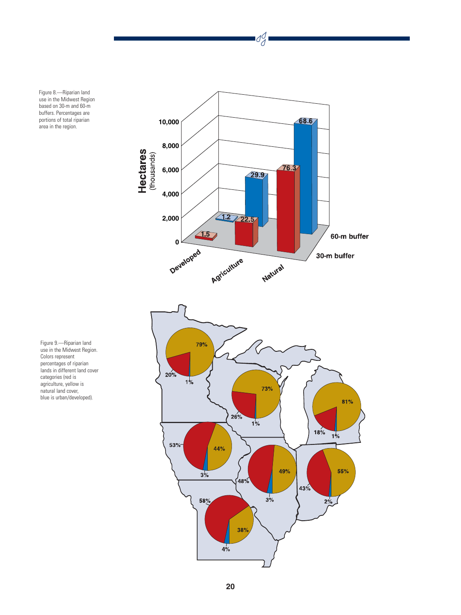Figure 8.—Riparian land use in the Midwest Region based on 30-m and 60-m buffers. Percentages are portions of total riparian area in the region.



 $\frac{d}{d}$ 



Figure 9.—Riparian land use in the Midwest Region. Colors represent percentages of riparian lands in different land cover categories (red is agriculture, yellow is natural land cover, blue is urban/developed).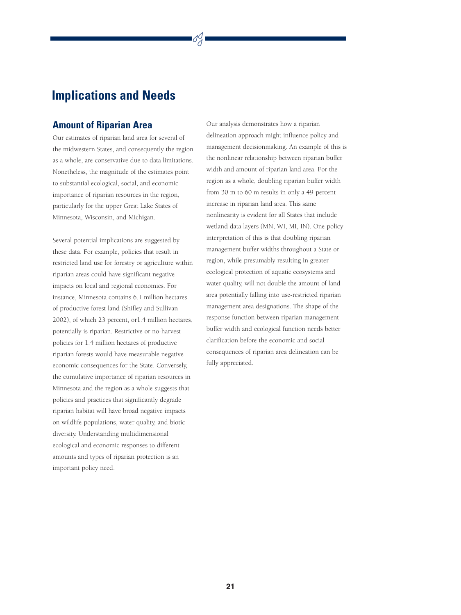## **Implications and Needs**

#### **Amount of Riparian Area**

Our estimates of riparian land area for several of the midwestern States, and consequently the region as a whole, are conservative due to data limitations. Nonetheless, the magnitude of the estimates point to substantial ecological, social, and economic importance of riparian resources in the region, particularly for the upper Great Lake States of Minnesota, Wisconsin, and Michigan.

Several potential implications are suggested by these data. For example, policies that result in restricted land use for forestry or agriculture within riparian areas could have significant negative impacts on local and regional economies. For instance, Minnesota contains 6.1 million hectares of productive forest land (Shifley and Sullivan 2002), of which 23 percent, or1.4 million hectares, potentially is riparian. Restrictive or no-harvest policies for 1.4 million hectares of productive riparian forests would have measurable negative economic consequences for the State. Conversely, the cumulative importance of riparian resources in Minnesota and the region as a whole suggests that policies and practices that significantly degrade riparian habitat will have broad negative impacts on wildlife populations, water quality, and biotic diversity. Understanding multidimensional ecological and economic responses to different amounts and types of riparian protection is an important policy need.

Our analysis demonstrates how a riparian delineation approach might influence policy and management decisionmaking. An example of this is the nonlinear relationship between riparian buffer width and amount of riparian land area. For the region as a whole, doubling riparian buffer width from 30 m to 60 m results in only a 49-percent increase in riparian land area. This same nonlinearity is evident for all States that include wetland data layers (MN, WI, MI, IN). One policy interpretation of this is that doubling riparian management buffer widths throughout a State or region, while presumably resulting in greater ecological protection of aquatic ecosystems and water quality, will not double the amount of land area potentially falling into use-restricted riparian management area designations. The shape of the response function between riparian management buffer width and ecological function needs better clarification before the economic and social consequences of riparian area delineation can be fully appreciated.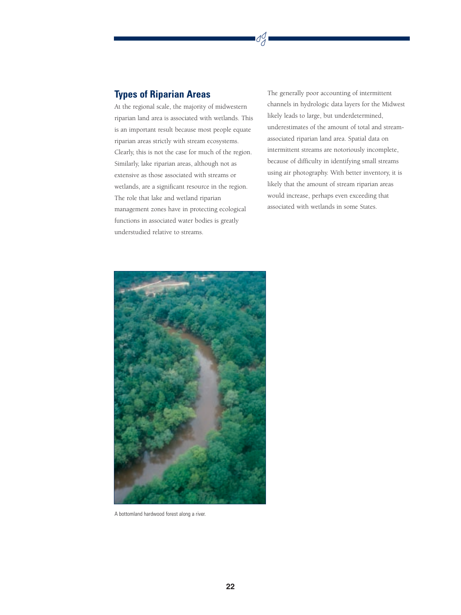### **Types of Riparian Areas**

At the regional scale, the majority of midwestern riparian land area is associated with wetlands. This is an important result because most people equate riparian areas strictly with stream ecosystems. Clearly, this is not the case for much of the region. Similarly, lake riparian areas, although not as extensive as those associated with streams or wetlands, are a significant resource in the region. The role that lake and wetland riparian management zones have in protecting ecological functions in associated water bodies is greatly understudied relative to streams.

The generally poor accounting of intermittent channels in hydrologic data layers for the Midwest likely leads to large, but underdetermined, underestimates of the amount of total and streamassociated riparian land area. Spatial data on intermittent streams are notoriously incomplete, because of difficulty in identifying small streams using air photography. With better inventory, it is likely that the amount of stream riparian areas would increase, perhaps even exceeding that associated with wetlands in some States.

SJ



A bottomland hardwood forest along a river.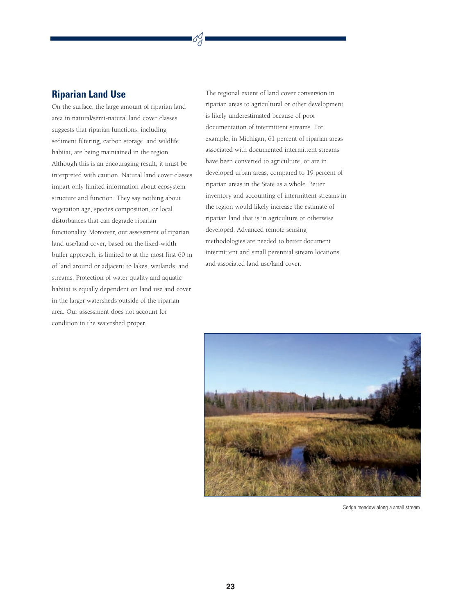#### **Riparian Land Use**

On the surface, the large amount of riparian land area in natural/semi-natural land cover classes suggests that riparian functions, including sediment filtering, carbon storage, and wildlife habitat, are being maintained in the region. Although this is an encouraging result, it must be interpreted with caution. Natural land cover classes impart only limited information about ecosystem structure and function. They say nothing about vegetation age, species composition, or local disturbances that can degrade riparian functionality. Moreover, our assessment of riparian land use/land cover, based on the fixed-width buffer approach, is limited to at the most first 60 m of land around or adjacent to lakes, wetlands, and streams. Protection of water quality and aquatic habitat is equally dependent on land use and cover in the larger watersheds outside of the riparian area. Our assessment does not account for condition in the watershed proper.

The regional extent of land cover conversion in riparian areas to agricultural or other development is likely underestimated because of poor documentation of intermittent streams. For example, in Michigan, 61 percent of riparian areas associated with documented intermittent streams have been converted to agriculture, or are in developed urban areas, compared to 19 percent of riparian areas in the State as a whole. Better inventory and accounting of intermittent streams in the region would likely increase the estimate of riparian land that is in agriculture or otherwise developed. Advanced remote sensing methodologies are needed to better document intermittent and small perennial stream locations and associated land use/land cover.



Sedge meadow along a small stream.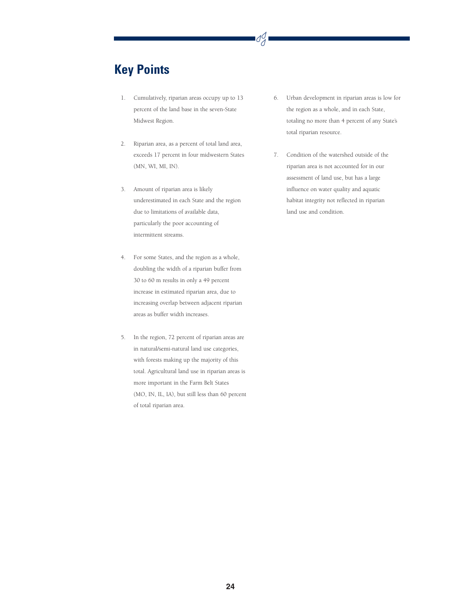# **Key Points**

- 1. Cumulatively, riparian areas occupy up to 13 percent of the land base in the seven-State Midwest Region.
- 2. Riparian area, as a percent of total land area, exceeds 17 percent in four midwestern States (MN, WI, MI, IN).
- 3. Amount of riparian area is likely underestimated in each State and the region due to limitations of available data, particularly the poor accounting of intermittent streams.
- 4. For some States, and the region as a whole, doubling the width of a riparian buffer from 30 to 60 m results in only a 49 percent increase in estimated riparian area, due to increasing overlap between adjacent riparian areas as buffer width increases.
- 5. In the region, 72 percent of riparian areas are in natural/semi-natural land use categories, with forests making up the majority of this total. Agricultural land use in riparian areas is more important in the Farm Belt States (MO, IN, IL, IA), but still less than 60 percent of total riparian area.
- 6. Urban development in riparian areas is low for the region as a whole, and in each State, totaling no more than 4 percent of any State's total riparian resource.
- 7. Condition of the watershed outside of the riparian area is not accounted for in our assessment of land use, but has a large influence on water quality and aquatic habitat integrity not reflected in riparian land use and condition.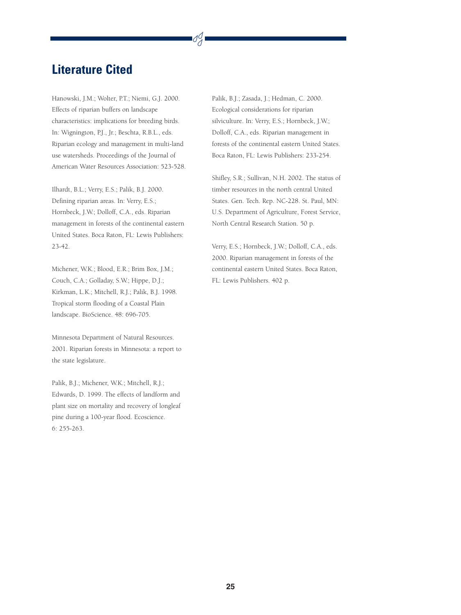## **Literature Cited**

Hanowski, J.M.; Wolter, P.T.; Niemi, G.J. 2000. Effects of riparian buffers on landscape characteristics: implications for breeding birds. In: Wignington, P.J., Jr.; Beschta, R.B.L., eds. Riparian ecology and management in multi-land use watersheds. Proceedings of the Journal of American Water Resources Association: 523-528.

Ilhardt, B.L.; Verry, E.S.; Palik, B.J. 2000. Defining riparian areas. In: Verry, E.S.; Hornbeck, J.W.; Dolloff, C.A., eds. Riparian management in forests of the continental eastern United States. Boca Raton, FL: Lewis Publishers: 23-42.

Michener, W.K.; Blood, E.R.; Brim Box, J.M.; Couch, C.A.; Golladay, S.W.; Hippe, D.J.; Kirkman, L.K.; Mitchell, R.J.; Palik, B.J. 1998. Tropical storm flooding of a Coastal Plain landscape. BioScience. 48: 696-705.

Minnesota Department of Natural Resources. 2001. Riparian forests in Minnesota: a report to the state legislature.

Palik, B.J.; Michener, W.K.; Mitchell, R.J.; Edwards, D. 1999. The effects of landform and plant size on mortality and recovery of longleaf pine during a 100-year flood. Ecoscience. 6: 255-263.

Palik, B.J.; Zasada, J.; Hedman, C. 2000. Ecological considerations for riparian silviculture. In: Verry, E.S.; Hornbeck, J.W.; Dolloff, C.A., eds. Riparian management in forests of the continental eastern United States. Boca Raton, FL: Lewis Publishers: 233-254.

Shifley, S.R.; Sullivan, N.H. 2002. The status of timber resources in the north central United States. Gen. Tech. Rep. NC-228. St. Paul, MN: U.S. Department of Agriculture, Forest Service, North Central Research Station. 50 p.

Verry, E.S.; Hornbeck, J.W.; Dolloff, C.A., eds. 2000. Riparian management in forests of the continental eastern United States. Boca Raton, FL: Lewis Publishers. 402 p.